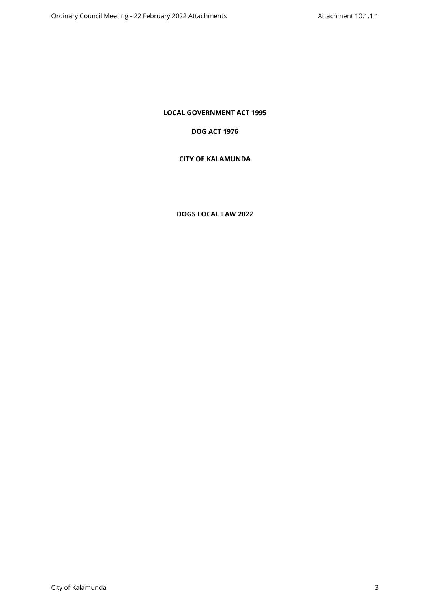**LOCAL GOVERNMENT ACT 1995**

# **DOG ACT 1976**

# **CITY OF KALAMUNDA**

# **DOGS LOCAL LAW 2022**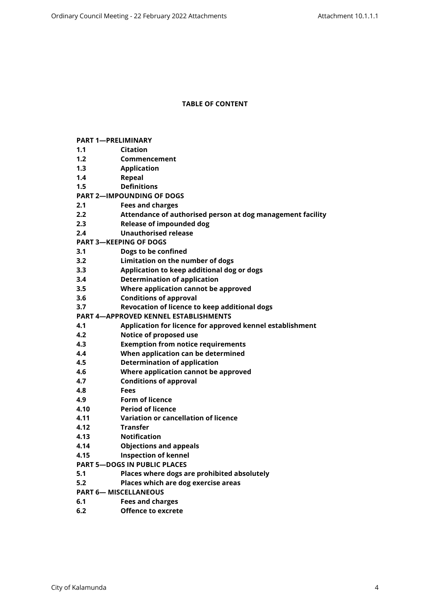### **TABLE OF CONTENT**

| <b>PART 1-PRELIMINARY</b>   |                                                            |  |  |  |
|-----------------------------|------------------------------------------------------------|--|--|--|
| 1.1                         | <b>Citation</b>                                            |  |  |  |
| 1.2                         | Commencement                                               |  |  |  |
| 1.3                         | <b>Application</b>                                         |  |  |  |
| 1.4                         | <b>Repeal</b>                                              |  |  |  |
| 1.5                         | <b>Definitions</b>                                         |  |  |  |
|                             | <b>PART 2-IMPOUNDING OF DOGS</b>                           |  |  |  |
| 2.1                         | <b>Fees and charges</b>                                    |  |  |  |
| 2.2                         | Attendance of authorised person at dog management facility |  |  |  |
| 2.3                         | <b>Release of impounded dog</b>                            |  |  |  |
| 2.4                         | <b>Unauthorised release</b>                                |  |  |  |
|                             | <b>PART 3-KEEPING OF DOGS</b>                              |  |  |  |
| 3.1                         | Dogs to be confined                                        |  |  |  |
| 3.2                         | Limitation on the number of dogs                           |  |  |  |
| 3.3                         | Application to keep additional dog or dogs                 |  |  |  |
| 3.4                         | <b>Determination of application</b>                        |  |  |  |
| 3.5                         | Where application cannot be approved                       |  |  |  |
| 3.6                         | <b>Conditions of approval</b>                              |  |  |  |
| 3.7                         | Revocation of licence to keep additional dogs              |  |  |  |
|                             | <b>PART 4-APPROVED KENNEL ESTABLISHMENTS</b>               |  |  |  |
| 4.1                         | Application for licence for approved kennel establishment  |  |  |  |
| 4.2                         | Notice of proposed use                                     |  |  |  |
| 4.3                         | <b>Exemption from notice requirements</b>                  |  |  |  |
| 4.4                         | When application can be determined                         |  |  |  |
| 4.5                         | <b>Determination of application</b>                        |  |  |  |
| 4.6                         | Where application cannot be approved                       |  |  |  |
| 4.7                         | <b>Conditions of approval</b>                              |  |  |  |
| 4.8                         | <b>Fees</b>                                                |  |  |  |
| 4.9                         | <b>Form of licence</b>                                     |  |  |  |
| 4.10                        | <b>Period of licence</b>                                   |  |  |  |
| 4.11                        | Variation or cancellation of licence                       |  |  |  |
| 4.12                        | <b>Transfer</b>                                            |  |  |  |
| 4.13                        | <b>Notification</b>                                        |  |  |  |
| 4.14                        | <b>Objections and appeals</b>                              |  |  |  |
| 4.15                        | <b>Inspection of kennel</b>                                |  |  |  |
|                             | <b>PART 5-DOGS IN PUBLIC PLACES</b>                        |  |  |  |
| 5.1                         | Places where dogs are prohibited absolutely                |  |  |  |
| 5.2                         | Places which are dog exercise areas                        |  |  |  |
| <b>PART 6-MISCELLANEOUS</b> |                                                            |  |  |  |
| 6.1                         | <b>Fees and charges</b>                                    |  |  |  |
| 6.2                         | <b>Offence to excrete</b>                                  |  |  |  |
|                             |                                                            |  |  |  |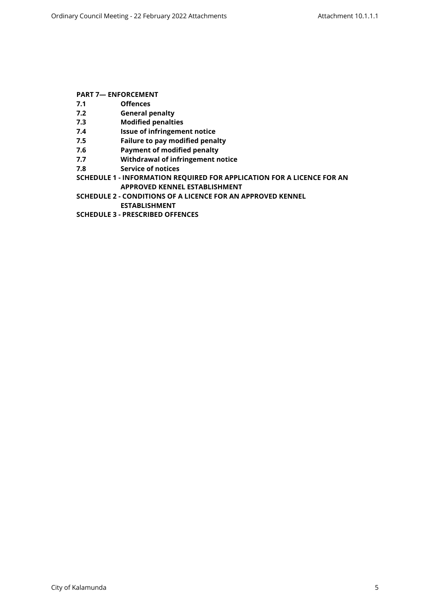# **[PART 7— ENFORCEMENT](#page-14-3)**

- **[7.1 Offences](#page-14-4)**
- **[7.2 General penalty](#page-14-5)**
- **[7.3 Modified penalties](#page-14-6)**
- **[7.4 Issue of infringement notice](#page-15-0)**
- **[7.5 Failure to pay modified penalty](#page-15-1)**
- **[7.6 Payment of modified penalty](#page-15-2)**
- **[7.7 Withdrawal of infringement notice](#page-15-3)**
- **[7.8 Service of notices](#page-15-4)**

**[SCHEDULE 1 - INFORMATION REQUIRED FOR APPLICATION FOR A LICENCE FOR AN](#page-16-0)  [APPROVED KENNEL ESTABLISHMENT](#page-16-0)**

**[SCHEDULE 2 - CONDITIONS OF A LICENCE FOR AN APPROVED KENNEL](#page-18-0)** 

**[ESTABLISHMENT](#page-18-0)**

**[SCHEDULE 3 - PRESCRIBED OFFENCES](#page-20-0)**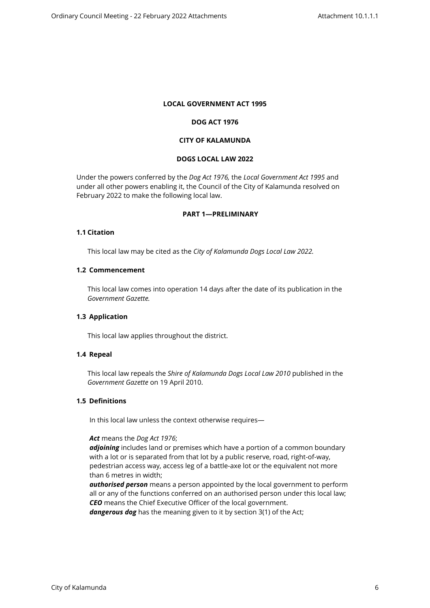### **LOCAL GOVERNMENT ACT 1995**

### **DOG ACT 1976**

## **CITY OF KALAMUNDA**

#### **DOGS LOCAL LAW 2022**

Under the powers conferred by the *Dog Act 1976,* the *Local Government Act 1995* and under all other powers enabling it, the Council of the City of Kalamunda resolved on February 2022 to make the following local law.

### <span id="page-3-0"></span>**PART 1—PRELIMINARY**

## <span id="page-3-1"></span>**1.1 Citation**

This local law may be cited as the *City of Kalamunda Dogs Local Law 2022.*

#### <span id="page-3-2"></span>**1.2 Commencement**

This local law comes into operation 14 days after the date of its publication in the *Government Gazette.*

# <span id="page-3-3"></span>**1.3 Application**

This local law applies throughout the district.

#### <span id="page-3-4"></span>**1.4 Repeal**

This local law repeals the *Shire of Kalamunda Dogs Local Law 2010* published in the *Government Gazette* on 19 April 2010.

#### <span id="page-3-5"></span>**1.5 Definitions**

In this local law unless the context otherwise requires—

#### *Act* means the *Dog Act 1976*;

*adjoining* includes land or premises which have a portion of a common boundary with a lot or is separated from that lot by a public reserve, road, right-of-way, pedestrian access way, access leg of a battle-axe lot or the equivalent not more than 6 metres in width;

*authorised person* means a person appointed by the local government to perform all or any of the functions conferred on an authorised person under this local law; *CEO* means the Chief Executive Officer of the local government.

*dangerous dog* has the meaning given to it by section 3(1) of the Act;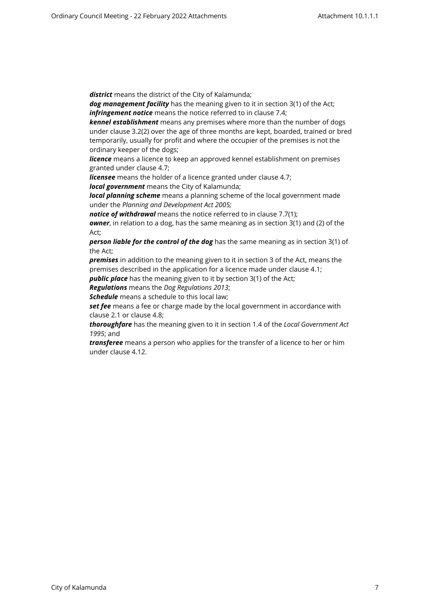*district* means the district of the City of Kalamunda;

*dog management facility* has the meaning given to it in section 3(1) of the Act; *infringement notice* means the notice referred to in clause 7.4;

*kennel establishment* means any premises where more than the number of dogs under clause 3.2(2) over the age of three months are kept, boarded, trained or bred temporarily, usually for profit and where the occupier of the premises is not the ordinary keeper of the dogs;

**licence** means a licence to keep an approved kennel establishment on premises granted under clause 4.7;

*licensee* means the holder of a licence granted under clause 4.7;

*local government* means the City of Kalamunda;

*local planning scheme* means a planning scheme of the local government made under the *Planning and Development Act 2005;*

*notice of withdrawal* means the notice referred to in clause 7.7(1);

*owner*, in relation to a dog, has the same meaning as in section 3(1) and (2) of the Act;

*person liable for the control of the dog* has the same meaning as in section 3(1) of the Act;

*premises* in addition to the meaning given to it in section 3 of the Act, means the premises described in the application for a licence made under clause 4.1;

*public place* has the meaning given to it by section 3(1) of the Act;

*Regulations* means the *Dog Regulations 2013*;

*Schedule* means a schedule to this local law;

set fee means a fee or charge made by the local government in accordance with clause 2.1 or clause 4.8;

*thoroughfare* has the meaning given to it in section 1.4 of the *Local Government Act 1995*; and

*transferee* means a person who applies for the transfer of a licence to her or him under clause 4.12.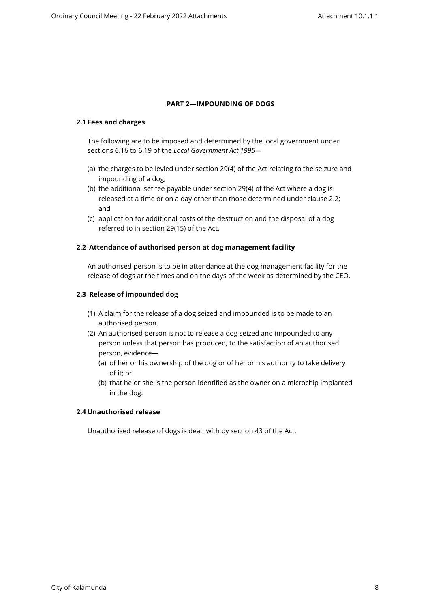### <span id="page-5-0"></span>**PART 2—IMPOUNDING OF DOGS**

### <span id="page-5-1"></span>**2.1 Fees and charges**

The following are to be imposed and determined by the local government under sections 6.16 to 6.19 of the *Local Government Act 1995*—

- (a) the charges to be levied under section 29(4) of the Act relating to the seizure and impounding of a dog;
- (b) the additional set fee payable under section 29(4) of the Act where a dog is released at a time or on a day other than those determined under clause 2.2; and
- (c) application for additional costs of the destruction and the disposal of a dog referred to in section 29(15) of the Act.

### <span id="page-5-2"></span>**2.2 Attendance of authorised person at dog management facility**

An authorised person is to be in attendance at the dog management facility for the release of dogs at the times and on the days of the week as determined by the CEO.

### <span id="page-5-3"></span>**2.3 Release of impounded dog**

- (1) A claim for the release of a dog seized and impounded is to be made to an authorised person.
- (2) An authorised person is not to release a dog seized and impounded to any person unless that person has produced, to the satisfaction of an authorised person, evidence—
	- (a) of her or his ownership of the dog or of her or his authority to take delivery of it; or
	- (b) that he or she is the person identified as the owner on a microchip implanted in the dog.

#### <span id="page-5-4"></span>**2.4 Unauthorised release**

Unauthorised release of dogs is dealt with by section 43 of the Act.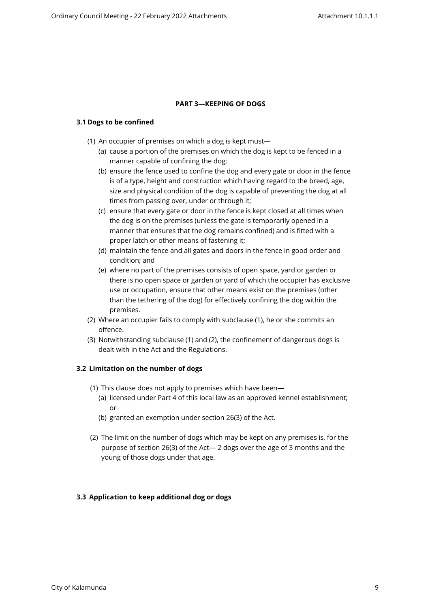### <span id="page-6-0"></span>**PART 3—KEEPING OF DOGS**

### <span id="page-6-1"></span>**3.1 Dogs to be confined**

- (1) An occupier of premises on which a dog is kept must—
	- (a) cause a portion of the premises on which the dog is kept to be fenced in a manner capable of confining the dog;
	- (b) ensure the fence used to confine the dog and every gate or door in the fence is of a type, height and construction which having regard to the breed, age, size and physical condition of the dog is capable of preventing the dog at all times from passing over, under or through it;
	- (c) ensure that every gate or door in the fence is kept closed at all times when the dog is on the premises (unless the gate is temporarily opened in a manner that ensures that the dog remains confined) and is fitted with a proper latch or other means of fastening it;
	- (d) maintain the fence and all gates and doors in the fence in good order and condition; and
	- (e) where no part of the premises consists of open space, yard or garden or there is no open space or garden or yard of which the occupier has exclusive use or occupation, ensure that other means exist on the premises (other than the tethering of the dog) for effectively confining the dog within the premises.
- (2) Where an occupier fails to comply with subclause (1), he or she commits an offence.
- (3) Notwithstanding subclause (1) and (2), the confinement of dangerous dogs is dealt with in the Act and the Regulations.

# <span id="page-6-2"></span>**3.2 Limitation on the number of dogs**

- (1) This clause does not apply to premises which have been—
	- (a) licensed under Part 4 of this local law as an approved kennel establishment; or
	- (b) granted an exemption under section 26(3) of the Act.
- (2) The limit on the number of dogs which may be kept on any premises is, for the purpose of section 26(3) of the Act— 2 dogs over the age of 3 months and the young of those dogs under that age.

#### <span id="page-6-3"></span>**3.3 Application to keep additional dog or dogs**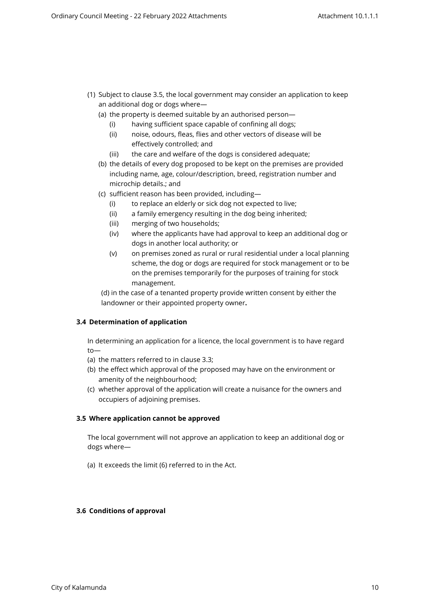- (1) Subject to clause 3.5, the local government may consider an application to keep an additional dog or dogs where—
	- (a) the property is deemed suitable by an authorised person—
		- (i) having sufficient space capable of confining all dogs;
		- (ii) noise, odours, fleas, flies and other vectors of disease will be effectively controlled; and
		- (iii) the care and welfare of the dogs is considered adequate;
	- (b) the details of every dog proposed to be kept on the premises are provided including name, age, colour/description, breed, registration number and microchip details.; and
	- (c) sufficient reason has been provided, including—
		- (i) to replace an elderly or sick dog not expected to live;
		- (ii) a family emergency resulting in the dog being inherited;
		- (iii) merging of two households;
		- (iv) where the applicants have had approval to keep an additional dog or dogs in another local authority; or
		- (v) on premises zoned as rural or rural residential under a local planning scheme, the dog or dogs are required for stock management or to be on the premises temporarily for the purposes of training for stock management.

(d) in the case of a tenanted property provide written consent by either the landowner or their appointed property owner**.**

# <span id="page-7-0"></span>**3.4 Determination of application**

In determining an application for a licence, the local government is to have regard to—

- (a) the matters referred to in clause 3.3;
- (b) the effect which approval of the proposed may have on the environment or amenity of the neighbourhood;
- (c) whether approval of the application will create a nuisance for the owners and occupiers of adjoining premises.

# <span id="page-7-1"></span>**3.5 Where application cannot be approved**

The local government will not approve an application to keep an additional dog or dogs where—

(a) It exceeds the limit (6) referred to in the Act.

# <span id="page-7-2"></span>**3.6 Conditions of approval**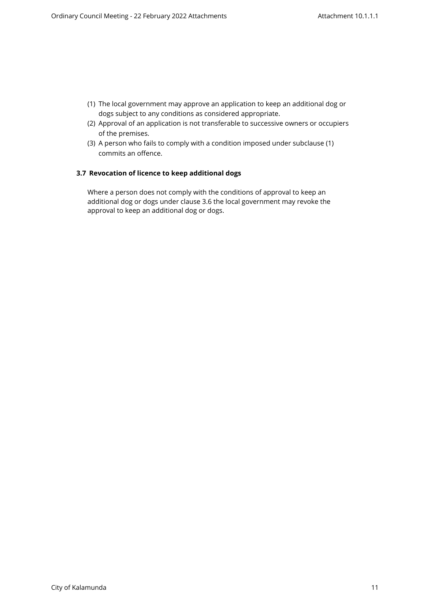- (1) The local government may approve an application to keep an additional dog or dogs subject to any conditions as considered appropriate.
- (2) Approval of an application is not transferable to successive owners or occupiers of the premises.
- (3) A person who fails to comply with a condition imposed under subclause (1) commits an offence.

# <span id="page-8-0"></span>**3.7 Revocation of licence to keep additional dogs**

Where a person does not comply with the conditions of approval to keep an additional dog or dogs under clause 3.6 the local government may revoke the approval to keep an additional dog or dogs.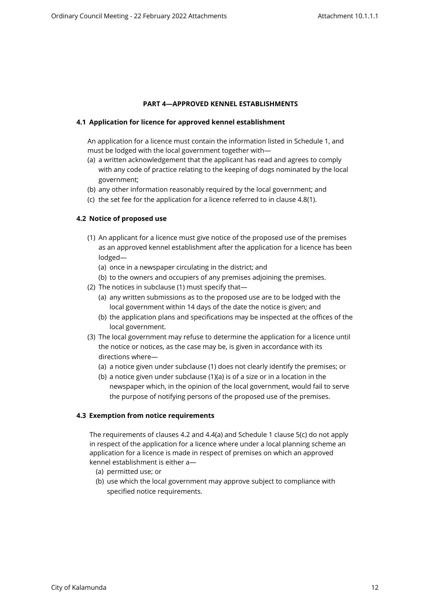# <span id="page-9-0"></span>**PART 4—APPROVED KENNEL ESTABLISHMENTS**

# <span id="page-9-1"></span>**4.1 Application for licence for approved kennel establishment**

An application for a licence must contain the information listed in Schedule 1, and must be lodged with the local government together with—

- (a) a written acknowledgement that the applicant has read and agrees to comply with any code of practice relating to the keeping of dogs nominated by the local government;
- (b) any other information reasonably required by the local government; and
- (c) the set fee for the application for a licence referred to in clause 4.8(1).

# <span id="page-9-2"></span>**4.2 Notice of proposed use**

- (1) An applicant for a licence must give notice of the proposed use of the premises as an approved kennel establishment after the application for a licence has been lodged—
	- (a) once in a newspaper circulating in the district; and
	- (b) to the owners and occupiers of any premises adjoining the premises.
- (2) The notices in subclause (1) must specify that—
	- (a) any written submissions as to the proposed use are to be lodged with the local government within 14 days of the date the notice is given; and
	- (b) the application plans and specifications may be inspected at the offices of the local government.
- (3) The local government may refuse to determine the application for a licence until the notice or notices, as the case may be, is given in accordance with its directions where—
	- (a) a notice given under subclause (1) does not clearly identify the premises; or
	- (b) a notice given under subclause (1)(a) is of a size or in a location in the newspaper which, in the opinion of the local government, would fail to serve the purpose of notifying persons of the proposed use of the premises.

# <span id="page-9-3"></span>**4.3 Exemption from notice requirements**

The requirements of clauses 4.2 and 4.4(a) and Schedule 1 clause 5(c) do not apply in respect of the application for a licence where under a local planning scheme an application for a licence is made in respect of premises on which an approved kennel establishment is either a—

- (a) permitted use; or
- (b) use which the local government may approve subject to compliance with specified notice requirements.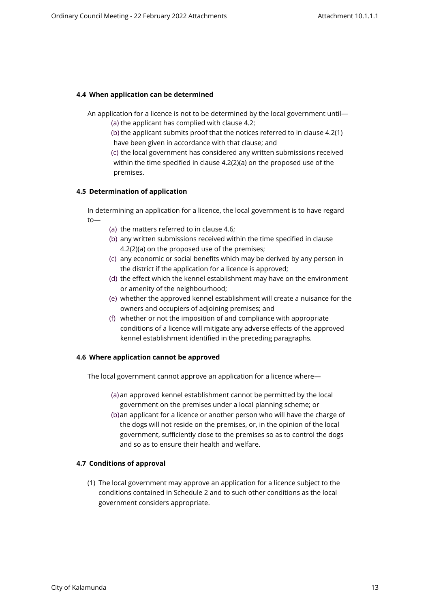### <span id="page-10-0"></span>**4.4 When application can be determined**

An application for a licence is not to be determined by the local government until— (a) the applicant has complied with clause 4.2;

(b) the applicant submits proof that the notices referred to in clause 4.2(1) have been given in accordance with that clause; and

(c) the local government has considered any written submissions received within the time specified in clause 4.2(2)(a) on the proposed use of the premises.

#### <span id="page-10-1"></span>**4.5 Determination of application**

In determining an application for a licence, the local government is to have regard to—

- (a) the matters referred to in clause 4.6;
- (b) any written submissions received within the time specified in clause 4.2(2)(a) on the proposed use of the premises;
- (c) any economic or social benefits which may be derived by any person in the district if the application for a licence is approved;
- (d) the effect which the kennel establishment may have on the environment or amenity of the neighbourhood;
- (e) whether the approved kennel establishment will create a nuisance for the owners and occupiers of adjoining premises; and
- (f) whether or not the imposition of and compliance with appropriate conditions of a licence will mitigate any adverse effects of the approved kennel establishment identified in the preceding paragraphs.

#### <span id="page-10-2"></span>**4.6 Where application cannot be approved**

The local government cannot approve an application for a licence where—

- (a) an approved kennel establishment cannot be permitted by the local government on the premises under a local planning scheme; or
- (b)an applicant for a licence or another person who will have the charge of the dogs will not reside on the premises, or, in the opinion of the local government, sufficiently close to the premises so as to control the dogs and so as to ensure their health and welfare.

# **4.7 Conditions of approval**

<span id="page-10-3"></span>(1) The local government may approve an application for a licence subject to the conditions contained in Schedule 2 and to such other conditions as the local government considers appropriate.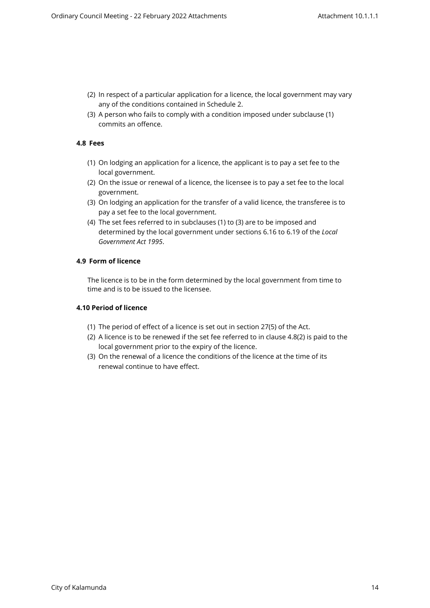- (2) In respect of a particular application for a licence, the local government may vary any of the conditions contained in Schedule 2.
- <span id="page-11-0"></span>(3) A person who fails to comply with a condition imposed under subclause (1) commits an offence.

## **4.8 Fees**

- (1) On lodging an application for a licence, the applicant is to pay a set fee to the local government.
- (2) On the issue or renewal of a licence, the licensee is to pay a set fee to the local government.
- (3) On lodging an application for the transfer of a valid licence, the transferee is to pay a set fee to the local government.
- (4) The set fees referred to in subclauses (1) to (3) are to be imposed and determined by the local government under sections 6.16 to 6.19 of the *Local Government Act 1995*.

#### <span id="page-11-1"></span>**4.9 Form of licence**

The licence is to be in the form determined by the local government from time to time and is to be issued to the licensee.

## <span id="page-11-2"></span>**4.10 Period of licence**

- (1) The period of effect of a licence is set out in section 27(5) of the Act.
- (2) A licence is to be renewed if the set fee referred to in clause 4.8(2) is paid to the local government prior to the expiry of the licence.
- (3) On the renewal of a licence the conditions of the licence at the time of its renewal continue to have effect.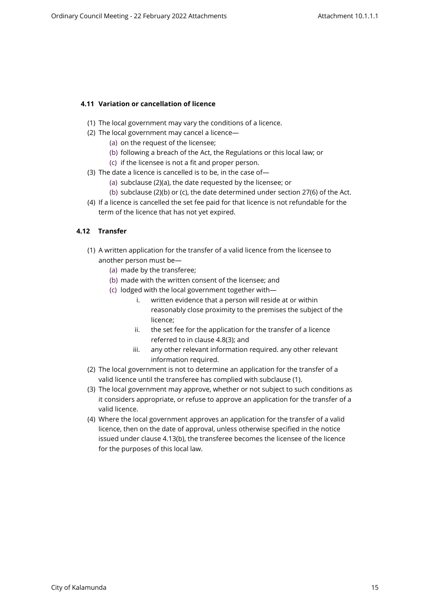# <span id="page-12-0"></span>**4.11 Variation or cancellation of licence**

- (1) The local government may vary the conditions of a licence.
- (2) The local government may cancel a licence—
	- (a) on the request of the licensee;
	- (b) following a breach of the Act, the Regulations or this local law; or
	- (c) if the licensee is not a fit and proper person.
- (3) The date a licence is cancelled is to be, in the case of—
	- (a) subclause (2)(a), the date requested by the licensee; or
	- (b) subclause (2)(b) or (c), the date determined under section 27(6) of the Act.
- (4) If a licence is cancelled the set fee paid for that licence is not refundable for the term of the licence that has not yet expired.

# <span id="page-12-1"></span>**4.12 Transfer**

- (1) A written application for the transfer of a valid licence from the licensee to another person must be—
	- (a) made by the transferee;
	- (b) made with the written consent of the licensee; and
	- (c) lodged with the local government together with
		- i. written evidence that a person will reside at or within reasonably close proximity to the premises the subject of the licence;
		- ii. the set fee for the application for the transfer of a licence referred to in clause 4.8(3); and
		- iii. any other relevant information required. any other relevant information required.
- (2) The local government is not to determine an application for the transfer of a valid licence until the transferee has complied with subclause (1).
- (3) The local government may approve, whether or not subject to such conditions as it considers appropriate, or refuse to approve an application for the transfer of a valid licence.
- (4) Where the local government approves an application for the transfer of a valid licence, then on the date of approval, unless otherwise specified in the notice issued under clause 4.13(b), the transferee becomes the licensee of the licence for the purposes of this local law.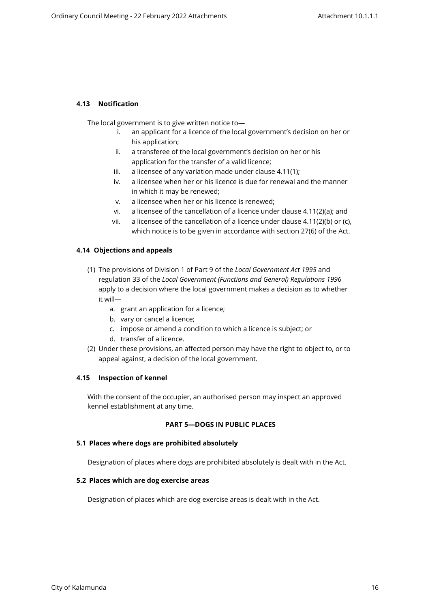# <span id="page-13-0"></span>**4.13 Notification**

The local government is to give written notice to—

- i. an applicant for a licence of the local government's decision on her or his application;
- ii. a transferee of the local government's decision on her or his application for the transfer of a valid licence;
- iii. a licensee of any variation made under clause 4.11(1);
- iv. a licensee when her or his licence is due for renewal and the manner in which it may be renewed;
- v. a licensee when her or his licence is renewed;
- vi. a licensee of the cancellation of a licence under clause 4.11(2)(a); and
- vii. a licensee of the cancellation of a licence under clause  $4.11(2)(b)$  or (c), which notice is to be given in accordance with section 27(6) of the Act.

### <span id="page-13-1"></span>**4.14 Objections and appeals**

- (1) The provisions of Division 1 of Part 9 of the *Local Government Act 1995* and regulation 33 of the *Local Government (Functions and General) Regulations 1996*  apply to a decision where the local government makes a decision as to whether it will
	- a. grant an application for a licence;
	- b. vary or cancel a licence;
	- c. impose or amend a condition to which a licence is subject; or
	- d. transfer of a licence.
- (2) Under these provisions, an affected person may have the right to object to, or to appeal against, a decision of the local government.

#### <span id="page-13-2"></span>**4.15 Inspection of kennel**

With the consent of the occupier, an authorised person may inspect an approved kennel establishment at any time.

# <span id="page-13-3"></span>**PART 5—DOGS IN PUBLIC PLACES**

#### **5.1 Places where dogs are prohibited absolutely**

Designation of places where dogs are prohibited absolutely is dealt with in the Act.

#### <span id="page-13-4"></span>**5.2 Places which are dog exercise areas**

<span id="page-13-5"></span>Designation of places which are dog exercise areas is dealt with in the Act.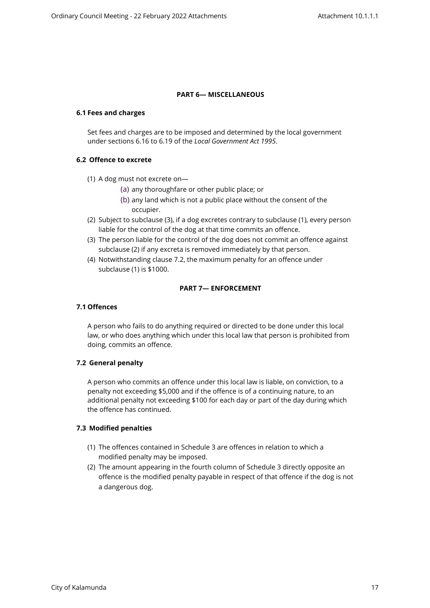# <span id="page-14-0"></span>**PART 6— MISCELLANEOUS**

#### <span id="page-14-2"></span><span id="page-14-1"></span>**6.1 Fees and charges**

Set fees and charges are to be imposed and determined by the local government under sections 6.16 to 6.19 of the *Local Government Act 1995*.

#### **6.2 Offence to excrete**

- (1) A dog must not excrete on—
	- (a) any thoroughfare or other public place; or
	- (b) any land which is not a public place without the consent of the occupier.
- (2) Subject to subclause (3), if a dog excretes contrary to subclause (1), every person liable for the control of the dog at that time commits an offence.
- (3) The person liable for the control of the dog does not commit an offence against subclause (2) if any excreta is removed immediately by that person.
- (4) Notwithstanding clause 7.2, the maximum penalty for an offence under subclause (1) is \$1000.

# <span id="page-14-3"></span>**PART 7— ENFORCEMENT**

## <span id="page-14-4"></span>**7.1 Offences**

A person who fails to do anything required or directed to be done under this local law, or who does anything which under this local law that person is prohibited from doing, commits an offence.

#### <span id="page-14-5"></span>**7.2 General penalty**

A person who commits an offence under this local law is liable, on conviction, to a penalty not exceeding \$5,000 and if the offence is of a continuing nature, to an additional penalty not exceeding \$100 for each day or part of the day during which the offence has continued.

### <span id="page-14-6"></span>**7.3 Modified penalties**

- (1) The offences contained in Schedule 3 are offences in relation to which a modified penalty may be imposed.
- (2) The amount appearing in the fourth column of Schedule 3 directly opposite an offence is the modified penalty payable in respect of that offence if the dog is not a dangerous dog.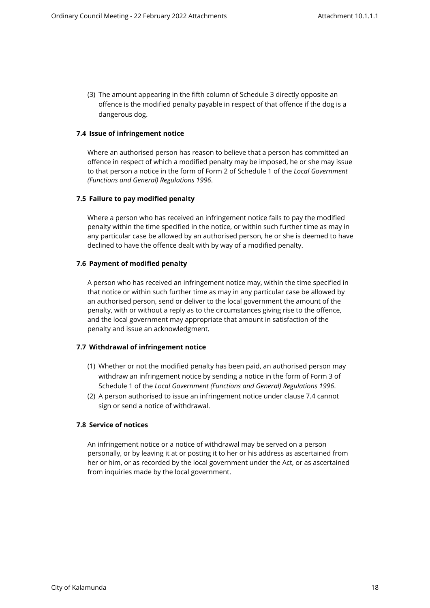<span id="page-15-0"></span>(3) The amount appearing in the fifth column of Schedule 3 directly opposite an offence is the modified penalty payable in respect of that offence if the dog is a dangerous dog.

### **7.4 Issue of infringement notice**

Where an authorised person has reason to believe that a person has committed an offence in respect of which a modified penalty may be imposed, he or she may issue to that person a notice in the form of Form 2 of Schedule 1 of the *Local Government (Functions and General) Regulations 1996*.

### <span id="page-15-1"></span>**7.5 Failure to pay modified penalty**

Where a person who has received an infringement notice fails to pay the modified penalty within the time specified in the notice, or within such further time as may in any particular case be allowed by an authorised person, he or she is deemed to have declined to have the offence dealt with by way of a modified penalty.

### <span id="page-15-2"></span>**7.6 Payment of modified penalty**

A person who has received an infringement notice may, within the time specified in that notice or within such further time as may in any particular case be allowed by an authorised person, send or deliver to the local government the amount of the penalty, with or without a reply as to the circumstances giving rise to the offence, and the local government may appropriate that amount in satisfaction of the penalty and issue an acknowledgment.

#### <span id="page-15-3"></span>**7.7 Withdrawal of infringement notice**

- (1) Whether or not the modified penalty has been paid, an authorised person may withdraw an infringement notice by sending a notice in the form of Form 3 of Schedule 1 of the *Local Government (Functions and General) Regulations 1996*.
- (2) A person authorised to issue an infringement notice under clause 7.4 cannot sign or send a notice of withdrawal.

### <span id="page-15-4"></span>**7.8 Service of notices**

An infringement notice or a notice of withdrawal may be served on a person personally, or by leaving it at or posting it to her or his address as ascertained from her or him, or as recorded by the local government under the Act, or as ascertained from inquiries made by the local government.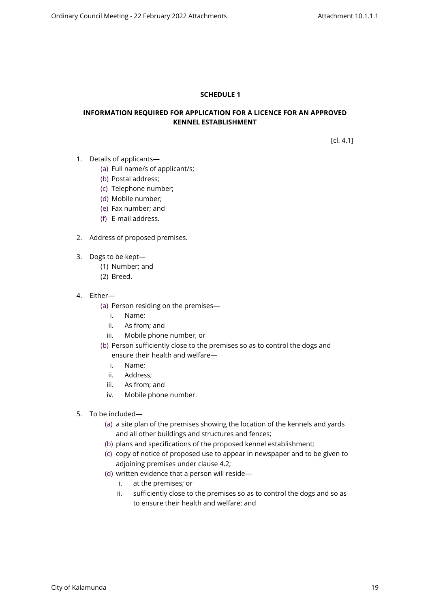# <span id="page-16-0"></span>**SCHEDULE 1**

# **INFORMATION REQUIRED FOR APPLICATION FOR A LICENCE FOR AN APPROVED KENNEL ESTABLISHMENT**

[cl. 4.1]

- 1. Details of applicants—
	- (a) Full name/s of applicant/s;
	- (b) Postal address;
	- (c) Telephone number;
	- (d) Mobile number;
	- (e) Fax number; and
	- (f) E-mail address.
- 2. Address of proposed premises.
- 3. Dogs to be kept—
	- (1) Number; and
	- (2) Breed.
- 4. Either—
	- (a) Person residing on the premises
		- i. Name;
		- ii. As from; and
		- iii. Mobile phone number, or
	- (b) Person sufficiently close to the premises so as to control the dogs and

### ensure their health and welfare—

- i. Name;
- ii. Address;
- iii. As from; and
- iv. Mobile phone number.
- 5. To be included—
	- (a) a site plan of the premises showing the location of the kennels and yards and all other buildings and structures and fences;
	- (b) plans and specifications of the proposed kennel establishment;
	- (c) copy of notice of proposed use to appear in newspaper and to be given to adjoining premises under clause 4.2;
	- (d) written evidence that a person will reside
		- i. at the premises; or
		- ii. sufficiently close to the premises so as to control the dogs and so as to ensure their health and welfare; and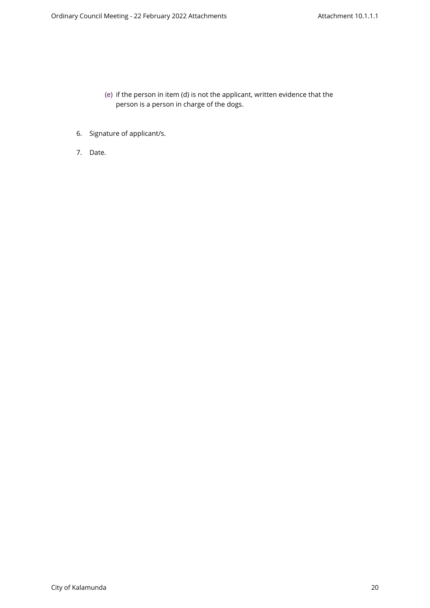- (e) if the person in item (d) is not the applicant, written evidence that the person is a person in charge of the dogs.
- 6. Signature of applicant/s.
- 7. Date.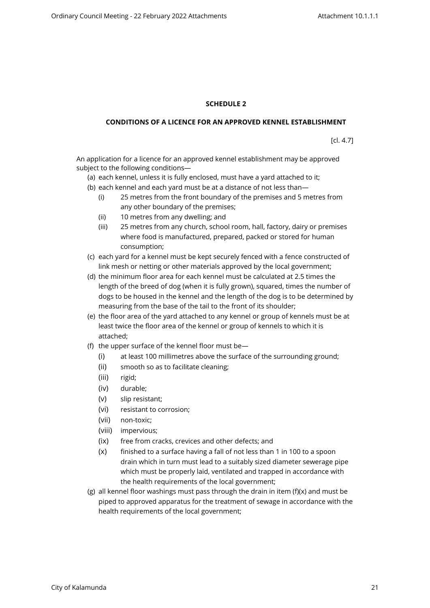## <span id="page-18-0"></span>**SCHEDULE 2**

### **CONDITIONS OF A LICENCE FOR AN APPROVED KENNEL ESTABLISHMENT**

[cl. 4.7]

An application for a licence for an approved kennel establishment may be approved subject to the following conditions—

- (a) each kennel, unless it is fully enclosed, must have a yard attached to it;
- (b) each kennel and each yard must be at a distance of not less than—
	- (i) 25 metres from the front boundary of the premises and 5 metres from any other boundary of the premises;
	- (ii) 10 metres from any dwelling; and
	- (iii) 25 metres from any church, school room, hall, factory, dairy or premises where food is manufactured, prepared, packed or stored for human consumption;
- (c) each yard for a kennel must be kept securely fenced with a fence constructed of link mesh or netting or other materials approved by the local government;
- (d) the minimum floor area for each kennel must be calculated at 2.5 times the length of the breed of dog (when it is fully grown), squared, times the number of dogs to be housed in the kennel and the length of the dog is to be determined by measuring from the base of the tail to the front of its shoulder;
- (e) the floor area of the yard attached to any kennel or group of kennels must be at least twice the floor area of the kennel or group of kennels to which it is attached;
- (f) the upper surface of the kennel floor must be—
	- (i) at least 100 millimetres above the surface of the surrounding ground;
	- (ii) smooth so as to facilitate cleaning;
	- (iii) rigid;
	- (iv) durable;
	- (v) slip resistant;
	- (vi) resistant to corrosion;
	- (vii) non-toxic;
	- (viii) impervious;
	- (ix) free from cracks, crevices and other defects; and
	- (x) finished to a surface having a fall of not less than 1 in 100 to a spoon drain which in turn must lead to a suitably sized diameter sewerage pipe which must be properly laid, ventilated and trapped in accordance with the health requirements of the local government;
- (g) all kennel floor washings must pass through the drain in item  $(f)(x)$  and must be piped to approved apparatus for the treatment of sewage in accordance with the health requirements of the local government;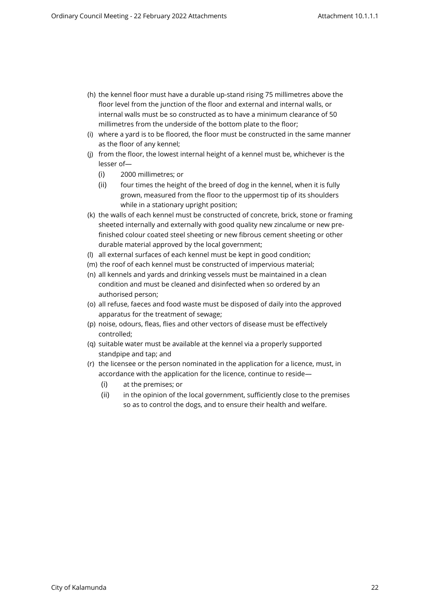- (h) the kennel floor must have a durable up-stand rising 75 millimetres above the floor level from the junction of the floor and external and internal walls, or internal walls must be so constructed as to have a minimum clearance of 50 millimetres from the underside of the bottom plate to the floor;
- (i) where a yard is to be floored, the floor must be constructed in the same manner as the floor of any kennel;
- (j) from the floor, the lowest internal height of a kennel must be, whichever is the lesser of—
	- (i) 2000 millimetres; or
	- (ii) four times the height of the breed of dog in the kennel, when it is fully grown, measured from the floor to the uppermost tip of its shoulders while in a stationary upright position;
- (k) the walls of each kennel must be constructed of concrete, brick, stone or framing sheeted internally and externally with good quality new zincalume or new prefinished colour coated steel sheeting or new fibrous cement sheeting or other durable material approved by the local government;
- (l) all external surfaces of each kennel must be kept in good condition;
- (m) the roof of each kennel must be constructed of impervious material;
- (n) all kennels and yards and drinking vessels must be maintained in a clean condition and must be cleaned and disinfected when so ordered by an authorised person;
- (o) all refuse, faeces and food waste must be disposed of daily into the approved apparatus for the treatment of sewage;
- (p) noise, odours, fleas, flies and other vectors of disease must be effectively controlled;
- (q) suitable water must be available at the kennel via a properly supported standpipe and tap; and
- (r) the licensee or the person nominated in the application for a licence, must, in accordance with the application for the licence, continue to reside—
	- (i) at the premises; or
	- (ii) in the opinion of the local government, sufficiently close to the premises so as to control the dogs, and to ensure their health and welfare.